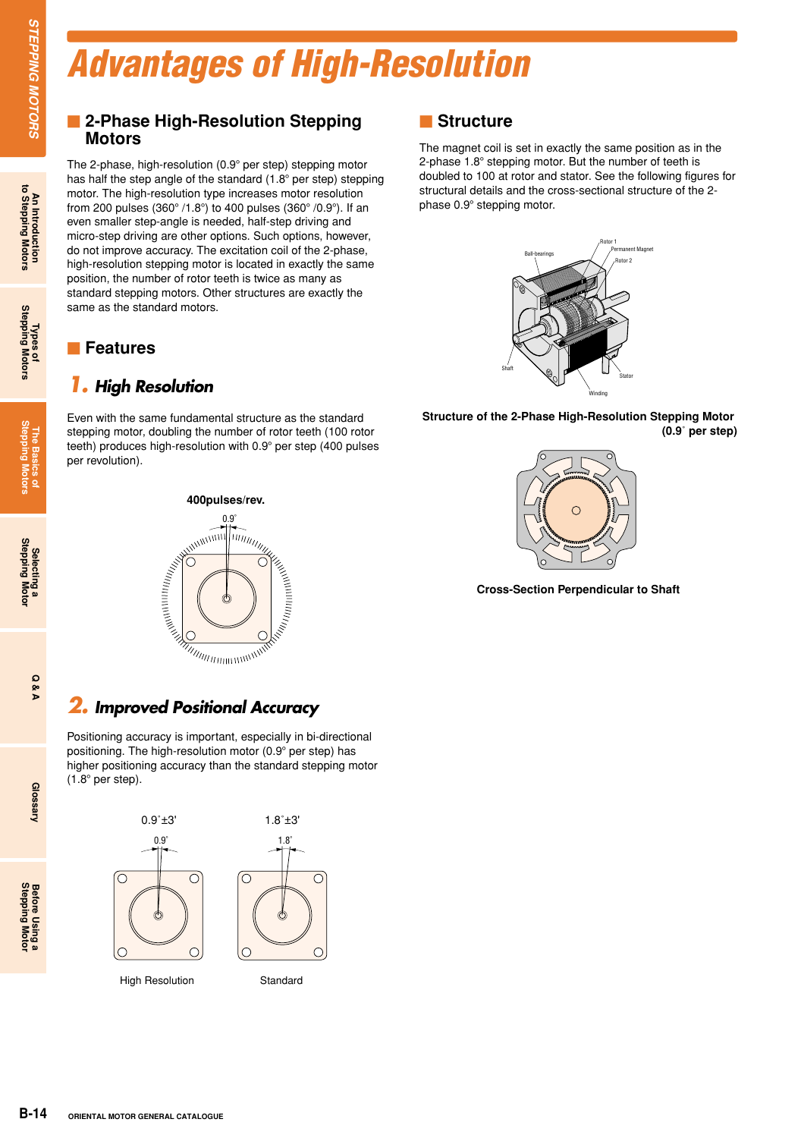# *Advantages of High-Resolution*

#### **E** 2-Phase High-Resolution Stepping **Motors**

The 2-phase, high-resolution (0.9° per step) stepping motor has half the step angle of the standard  $(1.8^\circ$  per step) stepping motor. The high-resolution type increases motor resolution from 200 pulses (360 $^{\circ}$  /1.8 $^{\circ}$ ) to 400 pulses (360 $^{\circ}$  /0.9 $^{\circ}$ ). If an even smaller step-angle is needed, half-step driving and micro-step driving are other options. Such options, however, do not improve accuracy. The excitation coil of the 2-phase, high-resolution stepping motor is located in exactly the same position, the number of rotor teeth is twice as many as standard stepping motors. Other structures are exactly the same as the standard motors.

#### **Features**

#### *1. High Resolution*

Even with the same fundamental structure as the standard stepping motor, doubling the number of rotor teeth (100 rotor teeth) produces high-resolution with 0.9° per step (400 pulses per revolution).



## *2. Improved Positional Accuracy*

Positioning accuracy is important, especially in bi-directional positioning. The high-resolution motor (0.9 per step) has higher positioning accuracy than the standard stepping motor  $(1.8^\circ$  per step).





The magnet coil is set in exactly the same position as in the 2-phase  $1.8^{\circ}$  stepping motor. But the number of teeth is doubled to 100 at rotor and stator. See the following figures for structural details and the cross-sectional structure of the 2 phase 0.9° stepping motor.



**Structure of the 2-Phase High-Resolution Stepping Motor (0.9**˚ **per step)**



**Cross-Section Perpendicular to Shaft**

**Selecting a Stepping Motor**

**Glossary**